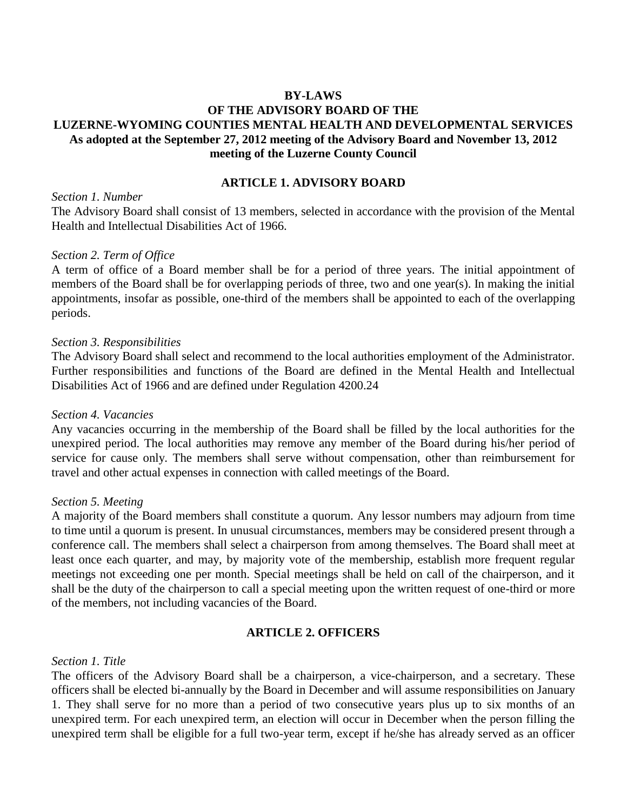## **BY-LAWS**

## **OF THE ADVISORY BOARD OF THE LUZERNE-WYOMING COUNTIES MENTAL HEALTH AND DEVELOPMENTAL SERVICES As adopted at the September 27, 2012 meeting of the Advisory Board and November 13, 2012 meeting of the Luzerne County Council**

#### **ARTICLE 1. ADVISORY BOARD**

#### *Section 1. Number*

The Advisory Board shall consist of 13 members, selected in accordance with the provision of the Mental Health and Intellectual Disabilities Act of 1966.

### *Section 2. Term of Office*

A term of office of a Board member shall be for a period of three years. The initial appointment of members of the Board shall be for overlapping periods of three, two and one year(s). In making the initial appointments, insofar as possible, one-third of the members shall be appointed to each of the overlapping periods.

#### *Section 3. Responsibilities*

The Advisory Board shall select and recommend to the local authorities employment of the Administrator. Further responsibilities and functions of the Board are defined in the Mental Health and Intellectual Disabilities Act of 1966 and are defined under Regulation 4200.24

#### *Section 4. Vacancies*

Any vacancies occurring in the membership of the Board shall be filled by the local authorities for the unexpired period. The local authorities may remove any member of the Board during his/her period of service for cause only. The members shall serve without compensation, other than reimbursement for travel and other actual expenses in connection with called meetings of the Board.

### *Section 5. Meeting*

A majority of the Board members shall constitute a quorum. Any lessor numbers may adjourn from time to time until a quorum is present. In unusual circumstances, members may be considered present through a conference call. The members shall select a chairperson from among themselves. The Board shall meet at least once each quarter, and may, by majority vote of the membership, establish more frequent regular meetings not exceeding one per month. Special meetings shall be held on call of the chairperson, and it shall be the duty of the chairperson to call a special meeting upon the written request of one-third or more of the members, not including vacancies of the Board.

### **ARTICLE 2. OFFICERS**

### *Section 1. Title*

The officers of the Advisory Board shall be a chairperson, a vice-chairperson, and a secretary. These officers shall be elected bi-annually by the Board in December and will assume responsibilities on January 1. They shall serve for no more than a period of two consecutive years plus up to six months of an unexpired term. For each unexpired term, an election will occur in December when the person filling the unexpired term shall be eligible for a full two-year term, except if he/she has already served as an officer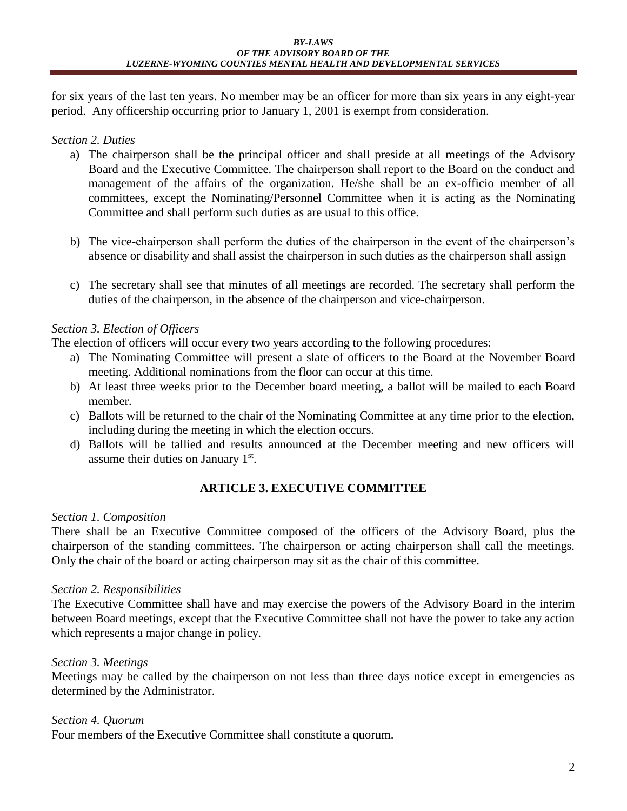for six years of the last ten years. No member may be an officer for more than six years in any eight-year period. Any officership occurring prior to January 1, 2001 is exempt from consideration.

## *Section 2. Duties*

- a) The chairperson shall be the principal officer and shall preside at all meetings of the Advisory Board and the Executive Committee. The chairperson shall report to the Board on the conduct and management of the affairs of the organization. He/she shall be an ex-officio member of all committees, except the Nominating/Personnel Committee when it is acting as the Nominating Committee and shall perform such duties as are usual to this office.
- b) The vice-chairperson shall perform the duties of the chairperson in the event of the chairperson's absence or disability and shall assist the chairperson in such duties as the chairperson shall assign
- c) The secretary shall see that minutes of all meetings are recorded. The secretary shall perform the duties of the chairperson, in the absence of the chairperson and vice-chairperson.

## *Section 3. Election of Officers*

The election of officers will occur every two years according to the following procedures:

- a) The Nominating Committee will present a slate of officers to the Board at the November Board meeting. Additional nominations from the floor can occur at this time.
- b) At least three weeks prior to the December board meeting, a ballot will be mailed to each Board member.
- c) Ballots will be returned to the chair of the Nominating Committee at any time prior to the election, including during the meeting in which the election occurs.
- d) Ballots will be tallied and results announced at the December meeting and new officers will assume their duties on January 1st.

# **ARTICLE 3. EXECUTIVE COMMITTEE**

## *Section 1. Composition*

There shall be an Executive Committee composed of the officers of the Advisory Board, plus the chairperson of the standing committees. The chairperson or acting chairperson shall call the meetings. Only the chair of the board or acting chairperson may sit as the chair of this committee.

# *Section 2. Responsibilities*

The Executive Committee shall have and may exercise the powers of the Advisory Board in the interim between Board meetings, except that the Executive Committee shall not have the power to take any action which represents a major change in policy.

# *Section 3. Meetings*

Meetings may be called by the chairperson on not less than three days notice except in emergencies as determined by the Administrator.

# *Section 4. Quorum*

Four members of the Executive Committee shall constitute a quorum.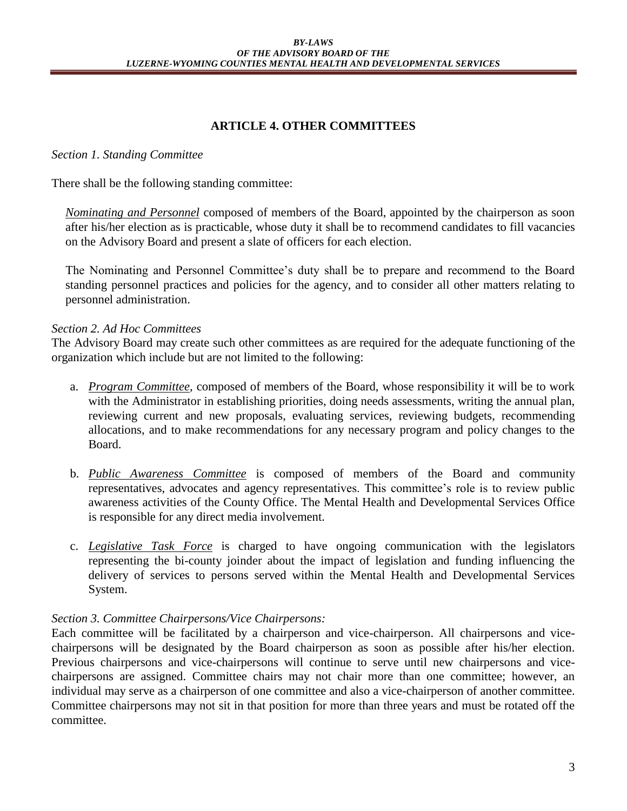## **ARTICLE 4. OTHER COMMITTEES**

## *Section 1. Standing Committee*

There shall be the following standing committee:

*Nominating and Personnel* composed of members of the Board, appointed by the chairperson as soon after his/her election as is practicable, whose duty it shall be to recommend candidates to fill vacancies on the Advisory Board and present a slate of officers for each election.

The Nominating and Personnel Committee's duty shall be to prepare and recommend to the Board standing personnel practices and policies for the agency, and to consider all other matters relating to personnel administration.

### *Section 2. Ad Hoc Committees*

The Advisory Board may create such other committees as are required for the adequate functioning of the organization which include but are not limited to the following:

- a. *Program Committee*, composed of members of the Board, whose responsibility it will be to work with the Administrator in establishing priorities, doing needs assessments, writing the annual plan, reviewing current and new proposals, evaluating services, reviewing budgets, recommending allocations, and to make recommendations for any necessary program and policy changes to the Board.
- b. *Public Awareness Committee* is composed of members of the Board and community representatives, advocates and agency representatives. This committee's role is to review public awareness activities of the County Office. The Mental Health and Developmental Services Office is responsible for any direct media involvement.
- c. *Legislative Task Force* is charged to have ongoing communication with the legislators representing the bi-county joinder about the impact of legislation and funding influencing the delivery of services to persons served within the Mental Health and Developmental Services System.

## *Section 3. Committee Chairpersons/Vice Chairpersons:*

Each committee will be facilitated by a chairperson and vice-chairperson. All chairpersons and vicechairpersons will be designated by the Board chairperson as soon as possible after his/her election. Previous chairpersons and vice-chairpersons will continue to serve until new chairpersons and vicechairpersons are assigned. Committee chairs may not chair more than one committee; however, an individual may serve as a chairperson of one committee and also a vice-chairperson of another committee. Committee chairpersons may not sit in that position for more than three years and must be rotated off the committee.